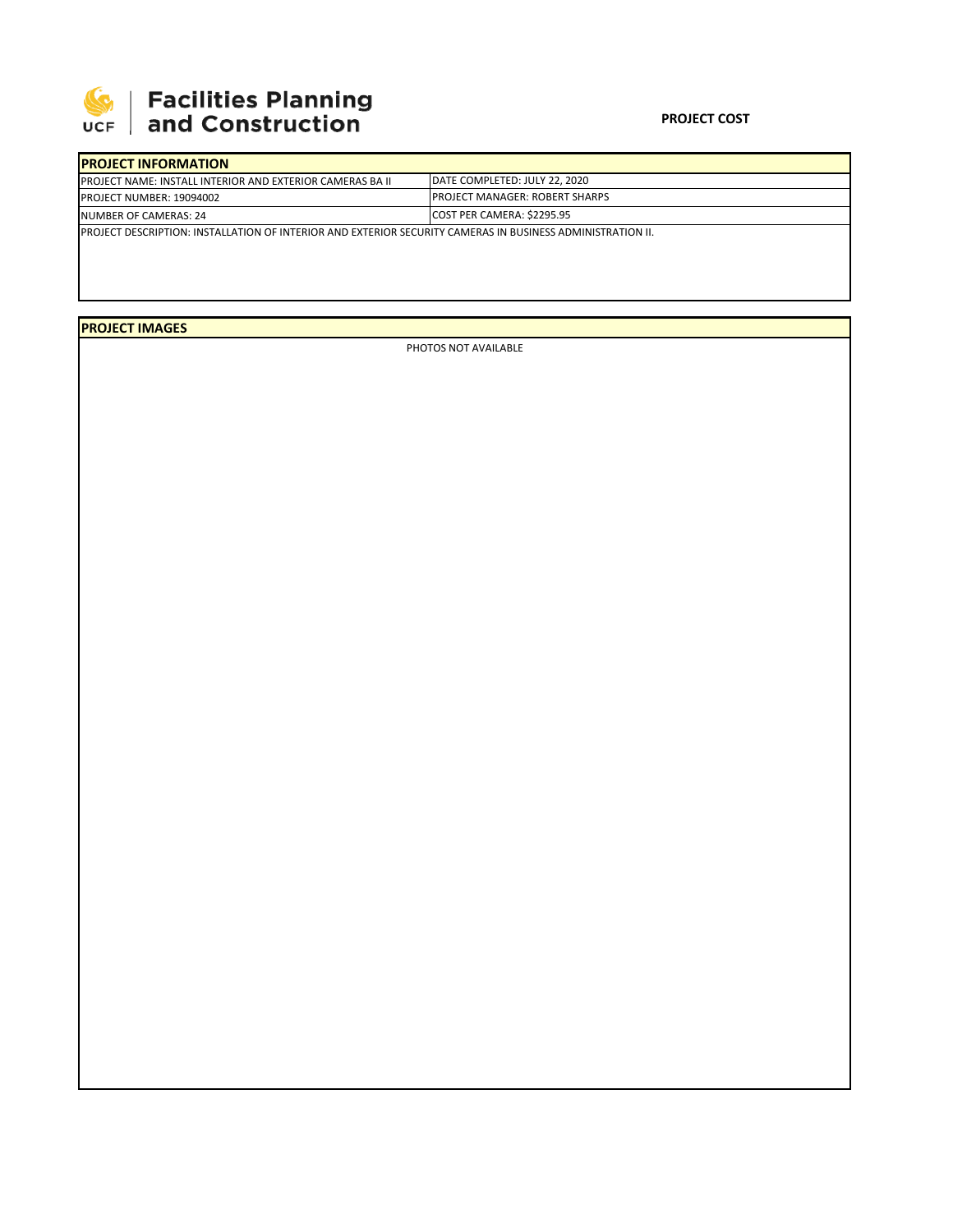

## **SEPTE AND Facilities Planning**<br>UCF and Construction

| <b>IPROJECT INFORMATION</b>                                                                                        |                                 |  |  |  |
|--------------------------------------------------------------------------------------------------------------------|---------------------------------|--|--|--|
| <b>IPROJECT NAME: INSTALL INTERIOR AND EXTERIOR CAMERAS BA II</b>                                                  | IDATE COMPLETED: JULY 22, 2020  |  |  |  |
| <b>PROJECT NUMBER: 19094002</b>                                                                                    | IPROJECT MANAGER: ROBERT SHARPS |  |  |  |
| NUMBER OF CAMERAS: 24                                                                                              | COST PER CAMERA: \$2295.95      |  |  |  |
| <b>IPROJECT DESCRIPTION: INSTALLATION OF INTERIOR AND EXTERIOR SECURITY CAMERAS IN BUSINESS ADMINISTRATION II.</b> |                                 |  |  |  |
|                                                                                                                    |                                 |  |  |  |

## **PROJECT IMAGES**

PHOTOS NOT AVAILABLE